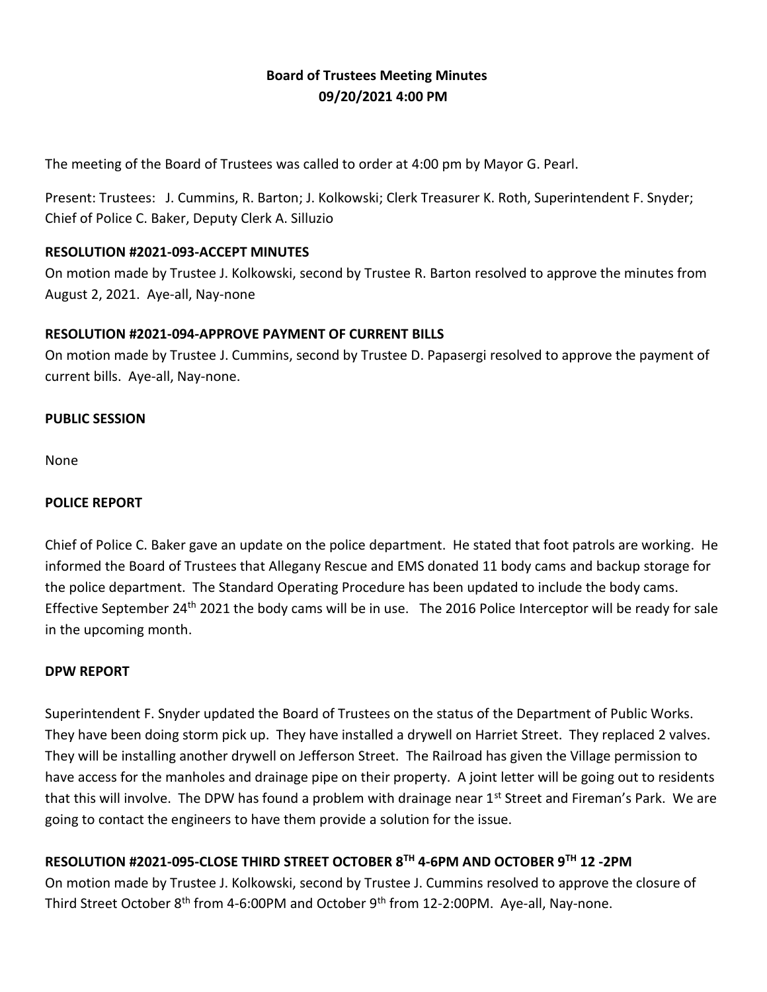# **Board of Trustees Meeting Minutes 09/20/2021 4:00 PM**

The meeting of the Board of Trustees was called to order at 4:00 pm by Mayor G. Pearl.

Present: Trustees: J. Cummins, R. Barton; J. Kolkowski; Clerk Treasurer K. Roth, Superintendent F. Snyder; Chief of Police C. Baker, Deputy Clerk A. Silluzio

#### **RESOLUTION #2021-093-ACCEPT MINUTES**

On motion made by Trustee J. Kolkowski, second by Trustee R. Barton resolved to approve the minutes from August 2, 2021. Aye-all, Nay-none

# **RESOLUTION #2021-094-APPROVE PAYMENT OF CURRENT BILLS**

On motion made by Trustee J. Cummins, second by Trustee D. Papasergi resolved to approve the payment of current bills. Aye-all, Nay-none.

#### **PUBLIC SESSION**

None

### **POLICE REPORT**

Chief of Police C. Baker gave an update on the police department. He stated that foot patrols are working. He informed the Board of Trustees that Allegany Rescue and EMS donated 11 body cams and backup storage for the police department. The Standard Operating Procedure has been updated to include the body cams. Effective September 24<sup>th</sup> 2021 the body cams will be in use. The 2016 Police Interceptor will be ready for sale in the upcoming month.

#### **DPW REPORT**

Superintendent F. Snyder updated the Board of Trustees on the status of the Department of Public Works. They have been doing storm pick up. They have installed a drywell on Harriet Street. They replaced 2 valves. They will be installing another drywell on Jefferson Street. The Railroad has given the Village permission to have access for the manholes and drainage pipe on their property. A joint letter will be going out to residents that this will involve. The DPW has found a problem with drainage near  $1<sup>st</sup>$  Street and Fireman's Park. We are going to contact the engineers to have them provide a solution for the issue.

# **RESOLUTION #2021-095-CLOSE THIRD STREET OCTOBER 8TH 4-6PM AND OCTOBER 9TH 12 -2PM**

On motion made by Trustee J. Kolkowski, second by Trustee J. Cummins resolved to approve the closure of Third Street October 8<sup>th</sup> from 4-6:00PM and October 9<sup>th</sup> from 12-2:00PM. Aye-all, Nay-none.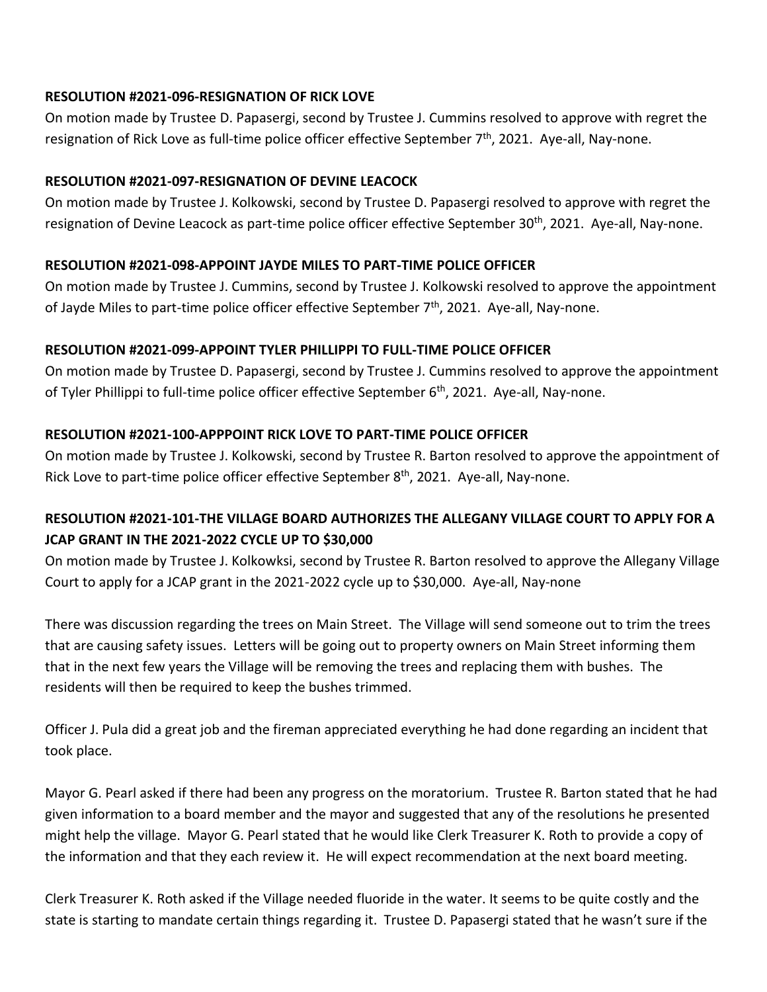# **RESOLUTION #2021-096-RESIGNATION OF RICK LOVE**

On motion made by Trustee D. Papasergi, second by Trustee J. Cummins resolved to approve with regret the resignation of Rick Love as full-time police officer effective September 7<sup>th</sup>, 2021. Aye-all, Nay-none.

### **RESOLUTION #2021-097-RESIGNATION OF DEVINE LEACOCK**

On motion made by Trustee J. Kolkowski, second by Trustee D. Papasergi resolved to approve with regret the resignation of Devine Leacock as part-time police officer effective September 30<sup>th</sup>, 2021. Aye-all, Nay-none.

#### **RESOLUTION #2021-098-APPOINT JAYDE MILES TO PART-TIME POLICE OFFICER**

On motion made by Trustee J. Cummins, second by Trustee J. Kolkowski resolved to approve the appointment of Jayde Miles to part-time police officer effective September  $7<sup>th</sup>$ , 2021. Aye-all, Nay-none.

# **RESOLUTION #2021-099-APPOINT TYLER PHILLIPPI TO FULL-TIME POLICE OFFICER**

On motion made by Trustee D. Papasergi, second by Trustee J. Cummins resolved to approve the appointment of Tyler Phillippi to full-time police officer effective September 6<sup>th</sup>, 2021. Aye-all, Nay-none.

# **RESOLUTION #2021-100-APPPOINT RICK LOVE TO PART-TIME POLICE OFFICER**

On motion made by Trustee J. Kolkowski, second by Trustee R. Barton resolved to approve the appointment of Rick Love to part-time police officer effective September 8<sup>th</sup>, 2021. Aye-all, Nay-none.

# **RESOLUTION #2021-101-THE VILLAGE BOARD AUTHORIZES THE ALLEGANY VILLAGE COURT TO APPLY FOR A JCAP GRANT IN THE 2021-2022 CYCLE UP TO \$30,000**

On motion made by Trustee J. Kolkowksi, second by Trustee R. Barton resolved to approve the Allegany Village Court to apply for a JCAP grant in the 2021-2022 cycle up to \$30,000. Aye-all, Nay-none

There was discussion regarding the trees on Main Street. The Village will send someone out to trim the trees that are causing safety issues. Letters will be going out to property owners on Main Street informing them that in the next few years the Village will be removing the trees and replacing them with bushes. The residents will then be required to keep the bushes trimmed.

Officer J. Pula did a great job and the fireman appreciated everything he had done regarding an incident that took place.

Mayor G. Pearl asked if there had been any progress on the moratorium. Trustee R. Barton stated that he had given information to a board member and the mayor and suggested that any of the resolutions he presented might help the village. Mayor G. Pearl stated that he would like Clerk Treasurer K. Roth to provide a copy of the information and that they each review it. He will expect recommendation at the next board meeting.

Clerk Treasurer K. Roth asked if the Village needed fluoride in the water. It seems to be quite costly and the state is starting to mandate certain things regarding it. Trustee D. Papasergi stated that he wasn't sure if the